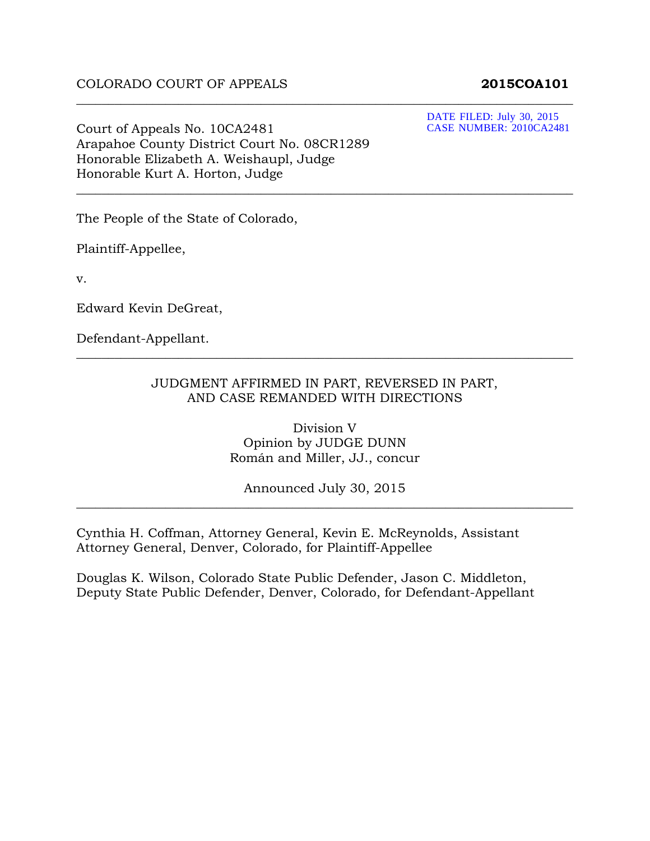#### COLORADO COURT OF APPEALS **2015COA101**

DATE FILED: July 30, 2015 CASE NUMBER: 2010CA2481

Court of Appeals No. 10CA2481 Arapahoe County District Court No. 08CR1289 Honorable Elizabeth A. Weishaupl, Judge Honorable Kurt A. Horton, Judge

The People of the State of Colorado,

Plaintiff-Appellee,

v.

Edward Kevin DeGreat,

Defendant-Appellant.

#### JUDGMENT AFFIRMED IN PART, REVERSED IN PART, AND CASE REMANDED WITH DIRECTIONS

\_\_\_\_\_\_\_\_\_\_\_\_\_\_\_\_\_\_\_\_\_\_\_\_\_\_\_\_\_\_\_\_\_\_\_\_\_\_\_\_\_\_\_\_\_\_\_\_\_\_\_\_\_\_\_\_\_\_\_\_\_\_\_\_\_\_\_\_\_\_\_\_\_\_\_\_\_\_

\_\_\_\_\_\_\_\_\_\_\_\_\_\_\_\_\_\_\_\_\_\_\_\_\_\_\_\_\_\_\_\_\_\_\_\_\_\_\_\_\_\_\_\_\_\_\_\_\_\_\_\_\_\_\_\_\_\_\_\_\_\_\_\_\_\_\_\_\_\_\_\_\_\_\_\_\_\_

\_\_\_\_\_\_\_\_\_\_\_\_\_\_\_\_\_\_\_\_\_\_\_\_\_\_\_\_\_\_\_\_\_\_\_\_\_\_\_\_\_\_\_\_\_\_\_\_\_\_\_\_\_\_\_\_\_\_\_\_\_\_\_\_\_\_\_\_\_\_\_\_\_\_\_\_\_\_

Division V Opinion by JUDGE DUNN Román and Miller, JJ., concur

Announced July 30, 2015 \_\_\_\_\_\_\_\_\_\_\_\_\_\_\_\_\_\_\_\_\_\_\_\_\_\_\_\_\_\_\_\_\_\_\_\_\_\_\_\_\_\_\_\_\_\_\_\_\_\_\_\_\_\_\_\_\_\_\_\_\_\_\_\_\_\_\_\_\_\_\_\_\_\_\_\_\_\_

Cynthia H. Coffman, Attorney General, Kevin E. McReynolds, Assistant Attorney General, Denver, Colorado, for Plaintiff-Appellee

Douglas K. Wilson, Colorado State Public Defender, Jason C. Middleton, Deputy State Public Defender, Denver, Colorado, for Defendant-Appellant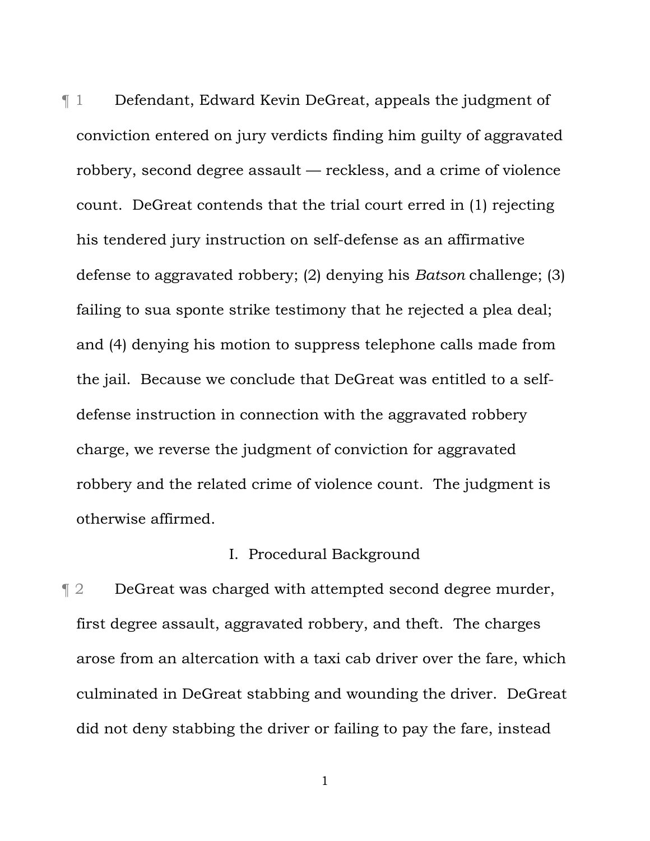¶ 1 Defendant, Edward Kevin DeGreat, appeals the judgment of conviction entered on jury verdicts finding him guilty of aggravated robbery, second degree assault — reckless, and a crime of violence count. DeGreat contends that the trial court erred in (1) rejecting his tendered jury instruction on self-defense as an affirmative defense to aggravated robbery; (2) denying his *Batson* challenge; (3) failing to sua sponte strike testimony that he rejected a plea deal; and (4) denying his motion to suppress telephone calls made from the jail. Because we conclude that DeGreat was entitled to a selfdefense instruction in connection with the aggravated robbery charge, we reverse the judgment of conviction for aggravated robbery and the related crime of violence count. The judgment is otherwise affirmed.

#### I. Procedural Background

**Texable 2 Fig. 2** DeGreat was charged with attempted second degree murder, first degree assault, aggravated robbery, and theft. The charges arose from an altercation with a taxi cab driver over the fare, which culminated in DeGreat stabbing and wounding the driver. DeGreat did not deny stabbing the driver or failing to pay the fare, instead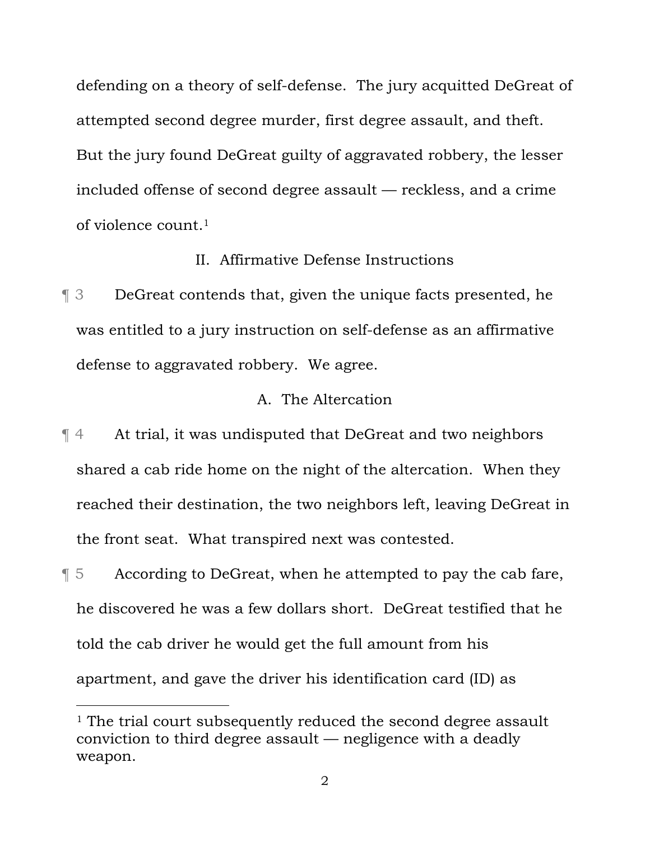defending on a theory of self-defense. The jury acquitted DeGreat of attempted second degree murder, first degree assault, and theft. But the jury found DeGreat guilty of aggravated robbery, the lesser included offense of second degree assault — reckless, and a crime of violence count.1

#### II. Affirmative Defense Instructions

¶ 3 DeGreat contends that, given the unique facts presented, he was entitled to a jury instruction on self-defense as an affirmative defense to aggravated robbery. We agree.

#### A. The Altercation

¶ 4 At trial, it was undisputed that DeGreat and two neighbors shared a cab ride home on the night of the altercation. When they reached their destination, the two neighbors left, leaving DeGreat in the front seat. What transpired next was contested.

¶ 5 According to DeGreat, when he attempted to pay the cab fare, he discovered he was a few dollars short. DeGreat testified that he told the cab driver he would get the full amount from his apartment, and gave the driver his identification card (ID) as

i<br>Li

<sup>&</sup>lt;sup>1</sup> The trial court subsequently reduced the second degree assault conviction to third degree assault — negligence with a deadly weapon.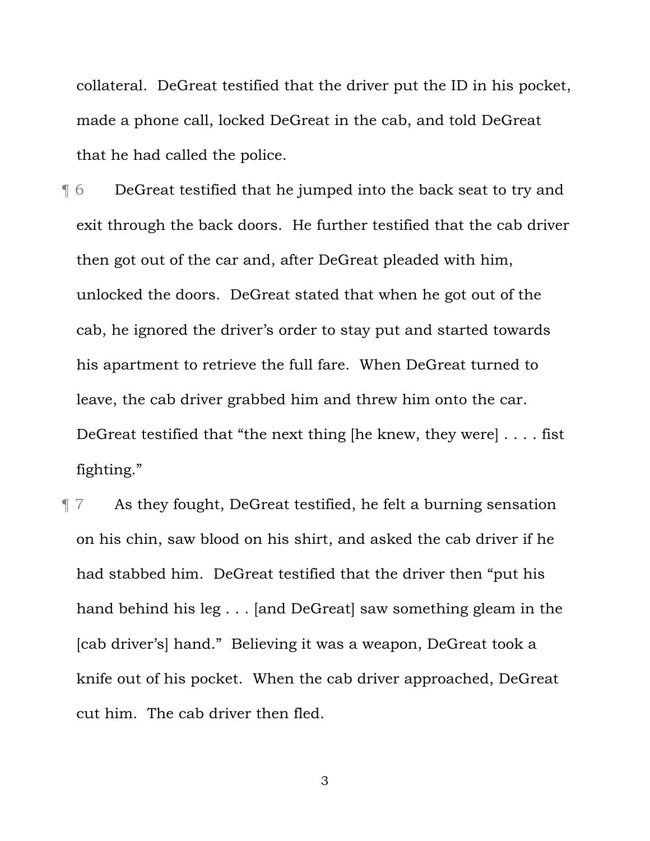collateral. DeGreat testified that the driver put the ID in his pocket, made a phone call, locked DeGreat in the cab, and told DeGreat that he had called the police.

¶ 6 DeGreat testified that he jumped into the back seat to try and exit through the back doors. He further testified that the cab driver then got out of the car and, after DeGreat pleaded with him, unlocked the doors. DeGreat stated that when he got out of the cab, he ignored the driver's order to stay put and started towards his apartment to retrieve the full fare. When DeGreat turned to leave, the cab driver grabbed him and threw him onto the car. DeGreat testified that "the next thing [he knew, they were] . . . . fist fighting."

¶ 7 As they fought, DeGreat testified, he felt a burning sensation on his chin, saw blood on his shirt, and asked the cab driver if he had stabbed him. DeGreat testified that the driver then "put his hand behind his leg . . . [and DeGreat] saw something gleam in the [cab driver's] hand." Believing it was a weapon, DeGreat took a knife out of his pocket. When the cab driver approached, DeGreat cut him. The cab driver then fled.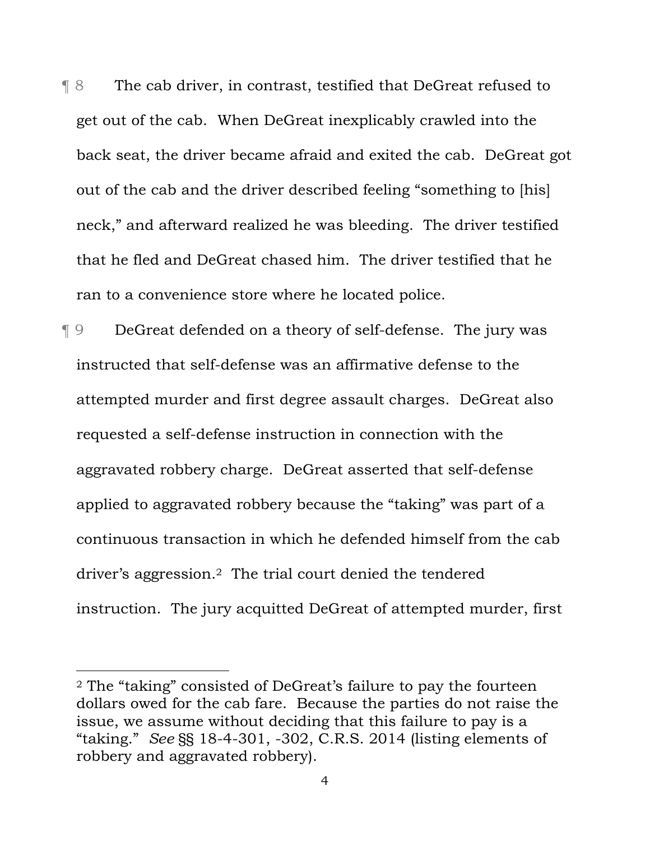¶ 8 The cab driver, in contrast, testified that DeGreat refused to get out of the cab.When DeGreat inexplicably crawled into the back seat, the driver became afraid and exited the cab. DeGreat got out of the cab and the driver described feeling "something to [his] neck," and afterward realized he was bleeding. The driver testified that he fled and DeGreat chased him. The driver testified that he ran to a convenience store where he located police.

¶ 9 DeGreat defended on a theory of self-defense. The jury was instructed that self-defense was an affirmative defense to the attempted murder and first degree assault charges. DeGreat also requested a self-defense instruction in connection with the aggravated robbery charge. DeGreat asserted that self-defense applied to aggravated robbery because the "taking" was part of a continuous transaction in which he defended himself from the cab driver's aggression.2 The trial court denied the tendered instruction. The jury acquitted DeGreat of attempted murder, first

i<br>Li

<sup>2</sup> The "taking" consisted of DeGreat's failure to pay the fourteen dollars owed for the cab fare. Because the parties do not raise the issue, we assume without deciding that this failure to pay is a "taking." *See* §§ 18-4-301, -302, C.R.S. 2014 (listing elements of robbery and aggravated robbery).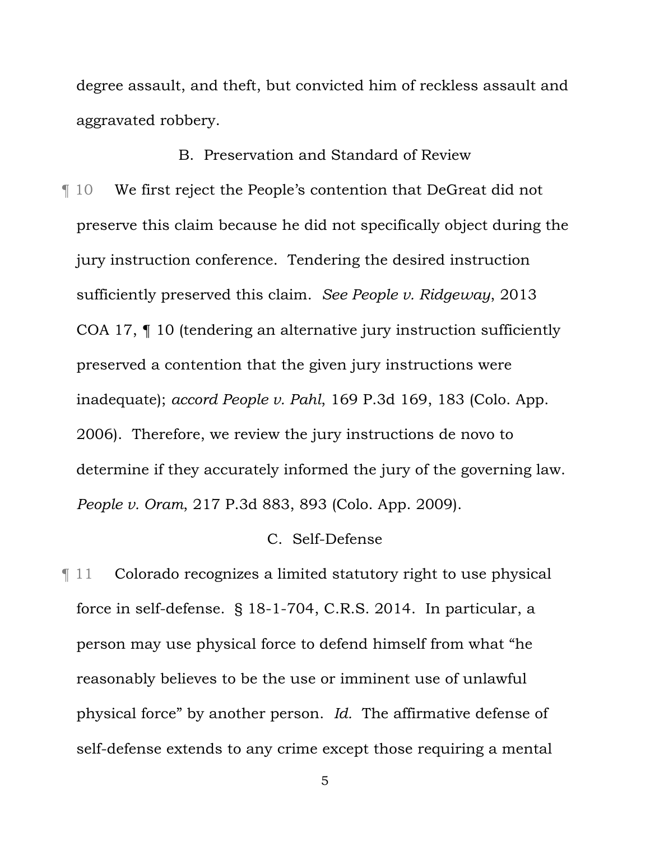degree assault, and theft, but convicted him of reckless assault and aggravated robbery.

#### B. Preservation and Standard of Review

¶ 10 We first reject the People's contention that DeGreat did not preserve this claim because he did not specifically object during the jury instruction conference. Tendering the desired instruction sufficiently preserved this claim. *See People v. Ridgeway*, 2013 COA 17, ¶ 10 (tendering an alternative jury instruction sufficiently preserved a contention that the given jury instructions were inadequate); *accord People v. Pahl*, 169 P.3d 169, 183 (Colo. App. 2006). Therefore, we review the jury instructions de novo to determine if they accurately informed the jury of the governing law. *People v. Oram*, 217 P.3d 883, 893 (Colo. App. 2009).

#### C. Self-Defense

¶ 11 Colorado recognizes a limited statutory right to use physical force in self-defense. § 18-1-704, C.R.S. 2014. In particular, a person may use physical force to defend himself from what "he reasonably believes to be the use or imminent use of unlawful physical force" by another person. *Id.* The affirmative defense of self-defense extends to any crime except those requiring a mental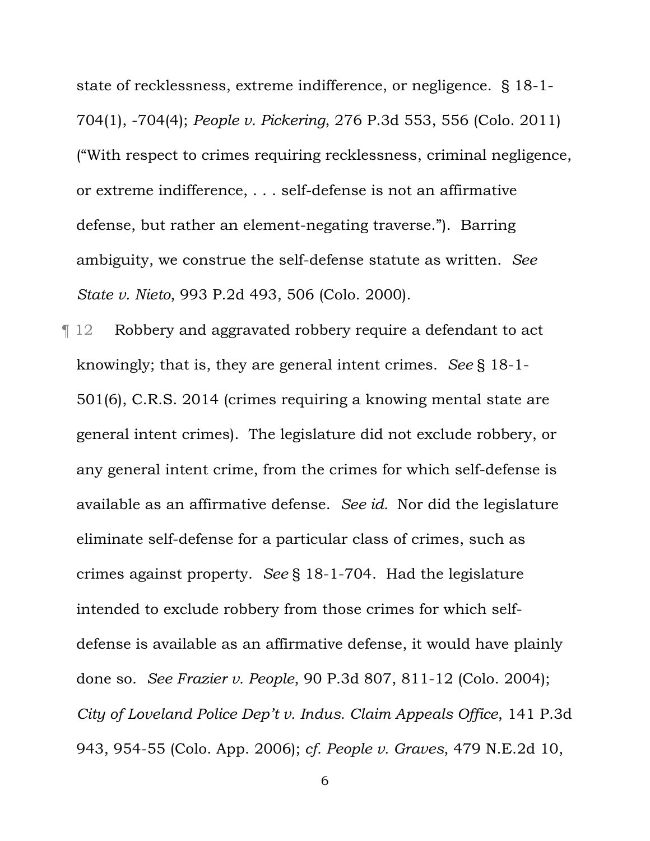state of recklessness, extreme indifference, or negligence. § 18-1- 704(1), -704(4); *People v. Pickering*, 276 P.3d 553, 556 (Colo. 2011) ("With respect to crimes requiring recklessness, criminal negligence, or extreme indifference, . . . self-defense is not an affirmative defense, but rather an element-negating traverse."). Barring ambiguity, we construe the self-defense statute as written. *See State v. Nieto*, 993 P.2d 493, 506 (Colo. 2000).

¶ 12 Robbery and aggravated robbery require a defendant to act knowingly; that is, they are general intent crimes. *See* § 18-1- 501(6), C.R.S. 2014 (crimes requiring a knowing mental state are general intent crimes). The legislature did not exclude robbery, or any general intent crime, from the crimes for which self-defense is available as an affirmative defense. *See id.* Nor did the legislature eliminate self-defense for a particular class of crimes, such as crimes against property. *See* § 18-1-704. Had the legislature intended to exclude robbery from those crimes for which selfdefense is available as an affirmative defense, it would have plainly done so. *See Frazier v. People*, 90 P.3d 807, 811-12 (Colo. 2004); *City of Loveland Police Dep't v. Indus. Claim Appeals Office*, 141 P.3d 943, 954-55 (Colo. App. 2006); *cf. People v. Graves*, 479 N.E.2d 10,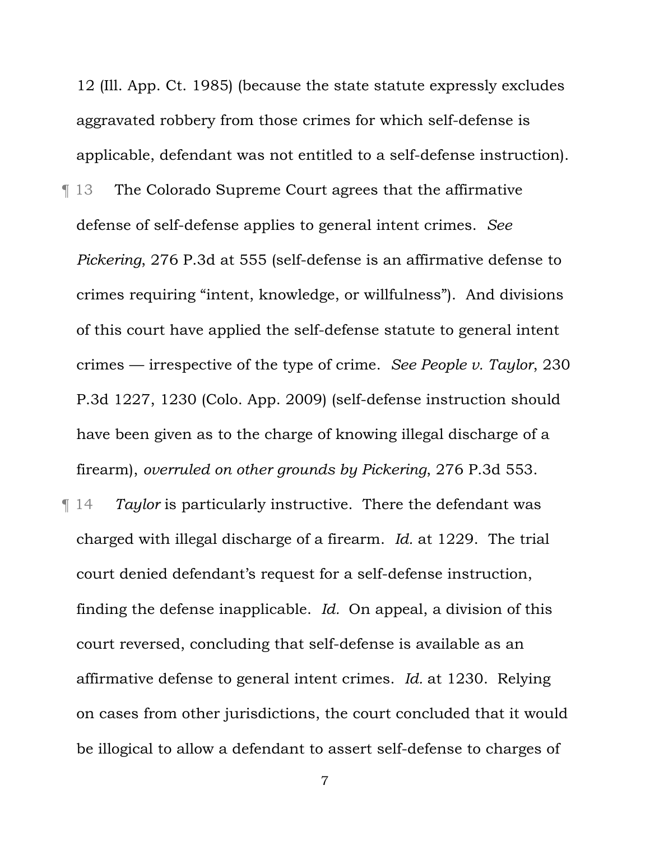12 (Ill. App. Ct. 1985) (because the state statute expressly excludes aggravated robbery from those crimes for which self-defense is applicable, defendant was not entitled to a self-defense instruction). ¶ 13 The Colorado Supreme Court agrees that the affirmative defense of self-defense applies to general intent crimes. *See Pickering*, 276 P.3d at 555 (self-defense is an affirmative defense to crimes requiring "intent, knowledge, or willfulness"). And divisions of this court have applied the self-defense statute to general intent crimes — irrespective of the type of crime. *See People v. Taylor*, 230 P.3d 1227, 1230 (Colo. App. 2009) (self-defense instruction should have been given as to the charge of knowing illegal discharge of a firearm), *overruled on other grounds by Pickering*, 276 P.3d 553.

¶ 14 *Taylor* is particularly instructive. There the defendant was charged with illegal discharge of a firearm. *Id.* at 1229. The trial court denied defendant's request for a self-defense instruction, finding the defense inapplicable. *Id.* On appeal, a division of this court reversed, concluding that self-defense is available as an affirmative defense to general intent crimes. *Id.* at 1230. Relying on cases from other jurisdictions, the court concluded that it would be illogical to allow a defendant to assert self-defense to charges of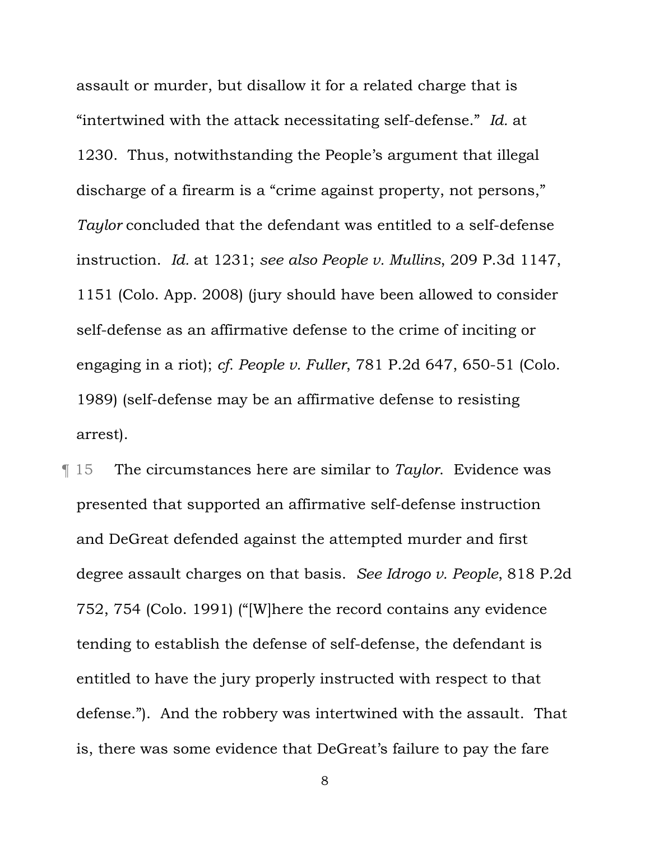assault or murder, but disallow it for a related charge that is "intertwined with the attack necessitating self-defense." *Id.* at 1230. Thus, notwithstanding the People's argument that illegal discharge of a firearm is a "crime against property, not persons," *Taylor* concluded that the defendant was entitled to a self-defense instruction. *Id.* at 1231; *see also People v. Mullins*, 209 P.3d 1147, 1151 (Colo. App. 2008) (jury should have been allowed to consider self-defense as an affirmative defense to the crime of inciting or engaging in a riot); *cf. People v. Fuller*, 781 P.2d 647, 650-51 (Colo. 1989) (self-defense may be an affirmative defense to resisting arrest).

¶ 15 The circumstances here are similar to *Taylor*. Evidence was presented that supported an affirmative self-defense instruction and DeGreat defended against the attempted murder and first degree assault charges on that basis. *See Idrogo v. People*, 818 P.2d 752, 754 (Colo. 1991) ("[W]here the record contains any evidence tending to establish the defense of self-defense, the defendant is entitled to have the jury properly instructed with respect to that defense."). And the robbery was intertwined with the assault. That is, there was some evidence that DeGreat's failure to pay the fare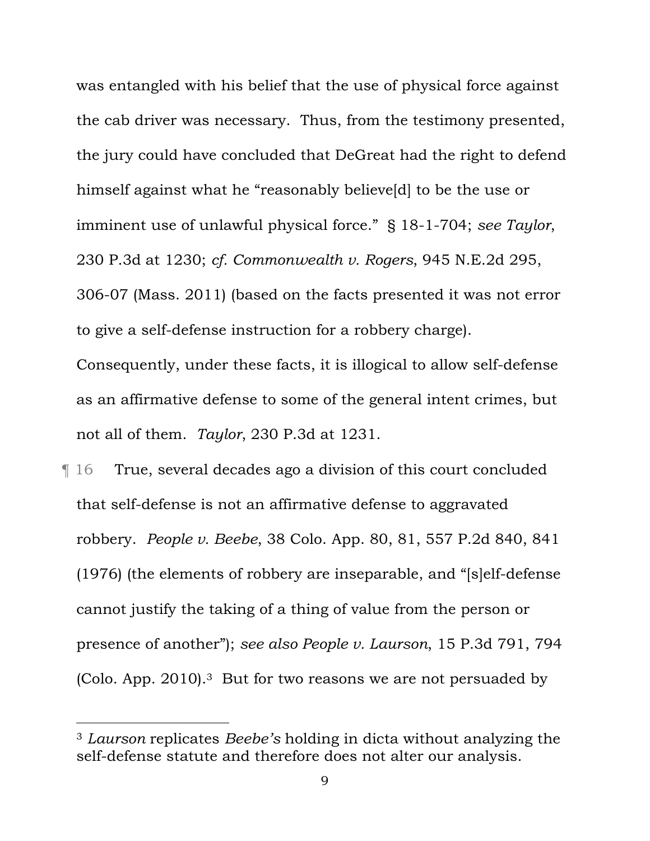was entangled with his belief that the use of physical force against the cab driver was necessary. Thus, from the testimony presented, the jury could have concluded that DeGreat had the right to defend himself against what he "reasonably believe[d] to be the use or imminent use of unlawful physical force." § 18-1-704; *see Taylor*, 230 P.3d at 1230; *cf. Commonwealth v. Rogers*, 945 N.E.2d 295, 306-07 (Mass. 2011) (based on the facts presented it was not error to give a self-defense instruction for a robbery charge). Consequently, under these facts, it is illogical to allow self-defense as an affirmative defense to some of the general intent crimes, but not all of them. *Taylor*, 230 P.3d at 1231.

¶ 16 True, several decades ago a division of this court concluded that self-defense is not an affirmative defense to aggravated robbery. *People v. Beebe*, 38 Colo. App. 80, 81, 557 P.2d 840, 841 (1976) (the elements of robbery are inseparable, and "[s]elf-defense cannot justify the taking of a thing of value from the person or presence of another"); *see also People v. Laurson*, 15 P.3d 791, 794 (Colo. App. 2010).3 But for two reasons we are not persuaded by

i

<sup>3</sup> *Laurson* replicates *Beebe's* holding in dicta without analyzing the self-defense statute and therefore does not alter our analysis.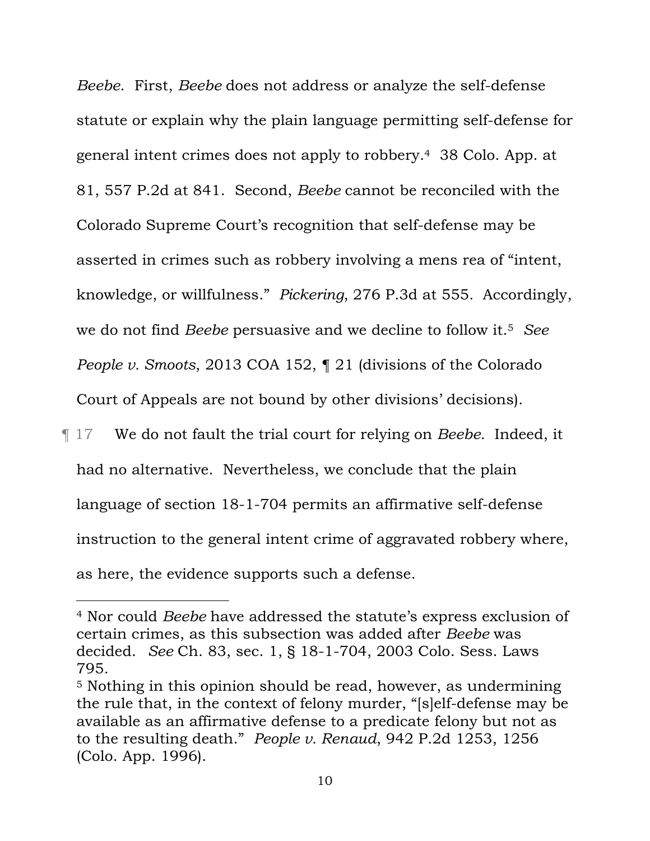*Beebe*. First, *Beebe* does not address or analyze the self-defense statute or explain why the plain language permitting self-defense for general intent crimes does not apply to robbery.4 38 Colo. App. at 81, 557 P.2d at 841. Second, *Beebe* cannot be reconciled with the Colorado Supreme Court's recognition that self-defense may be asserted in crimes such as robbery involving a mens rea of "intent, knowledge, or willfulness." *Pickering*, 276 P.3d at 555.Accordingly, we do not find *Beebe* persuasive and we decline to follow it.5 *See People v. Smoots*, 2013 COA 152, ¶ 21 (divisions of the Colorado Court of Appeals are not bound by other divisions' decisions).

¶ 17 We do not fault the trial court for relying on *Beebe.* Indeed, it had no alternative. Nevertheless, we conclude that the plain language of section 18-1-704 permits an affirmative self-defense instruction to the general intent crime of aggravated robbery where, as here, the evidence supports such a defense.

i

<sup>4</sup> Nor could *Beebe* have addressed the statute's express exclusion of certain crimes, as this subsection was added after *Beebe* was decided. *See* Ch. 83, sec. 1, § 18-1-704, 2003 Colo. Sess. Laws 795.

<sup>5</sup> Nothing in this opinion should be read, however, as undermining the rule that, in the context of felony murder, "[s]elf-defense may be available as an affirmative defense to a predicate felony but not as to the resulting death." *People v. Renaud*, 942 P.2d 1253, 1256 (Colo. App. 1996).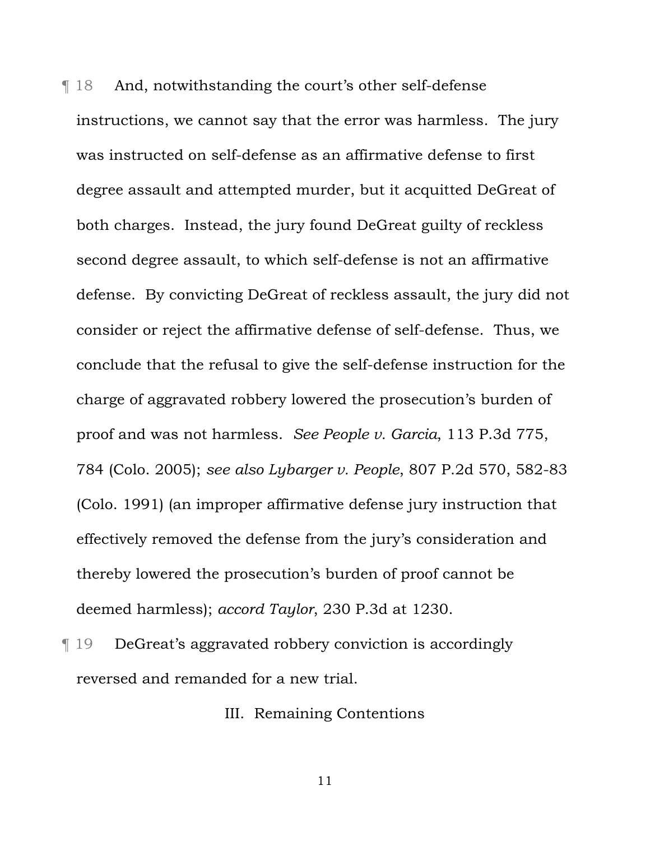¶ 18 And, notwithstanding the court's other self-defense instructions, we cannot say that the error was harmless. The jury was instructed on self-defense as an affirmative defense to first degree assault and attempted murder, but it acquitted DeGreat of both charges. Instead, the jury found DeGreat guilty of reckless second degree assault, to which self-defense is not an affirmative defense. By convicting DeGreat of reckless assault, the jury did not consider or reject the affirmative defense of self-defense. Thus, we conclude that the refusal to give the self-defense instruction for the charge of aggravated robbery lowered the prosecution's burden of proof and was not harmless. *See People v. Garcia*, 113 P.3d 775, 784 (Colo. 2005); *see also Lybarger v. People*, 807 P.2d 570, 582-83 (Colo. 1991) (an improper affirmative defense jury instruction that effectively removed the defense from the jury's consideration and thereby lowered the prosecution's burden of proof cannot be deemed harmless); *accord Taylor*, 230 P.3d at 1230.

¶ 19 DeGreat's aggravated robbery conviction is accordingly reversed and remanded for a new trial.

III. Remaining Contentions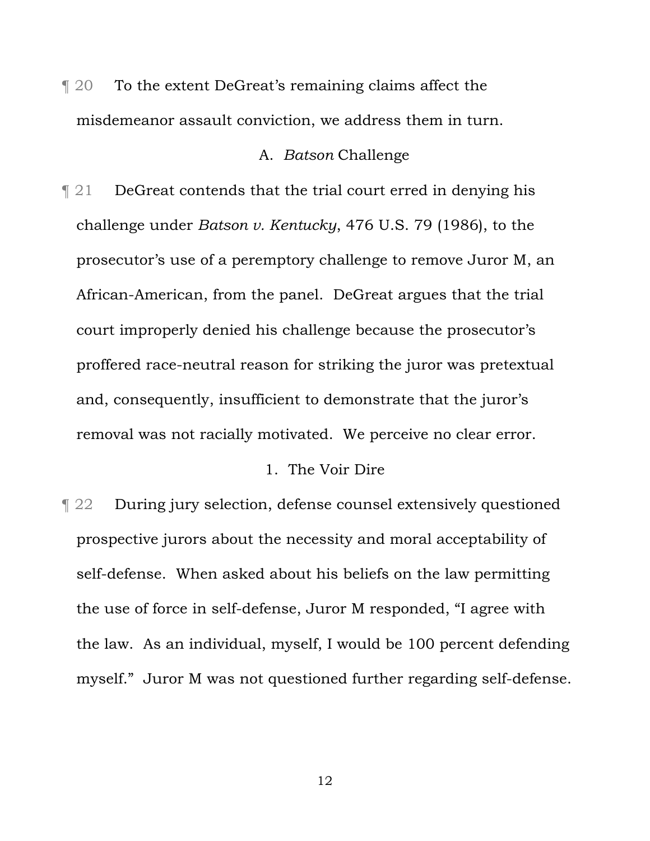¶ 20 To the extent DeGreat's remaining claims affect the misdemeanor assault conviction, we address them in turn.

#### A. *Batson* Challenge

¶ 21 DeGreat contends that the trial court erred in denying his challenge under *Batson v. Kentucky*, 476 U.S. 79 (1986), to the prosecutor's use of a peremptory challenge to remove Juror M, an African-American, from the panel. DeGreat argues that the trial court improperly denied his challenge because the prosecutor's proffered race-neutral reason for striking the juror was pretextual and, consequently, insufficient to demonstrate that the juror's removal was not racially motivated. We perceive no clear error.

#### 1. The Voir Dire

¶ 22 During jury selection, defense counsel extensively questioned prospective jurors about the necessity and moral acceptability of self-defense. When asked about his beliefs on the law permitting the use of force in self-defense, Juror M responded, "I agree with the law. As an individual, myself, I would be 100 percent defending myself." Juror M was not questioned further regarding self-defense.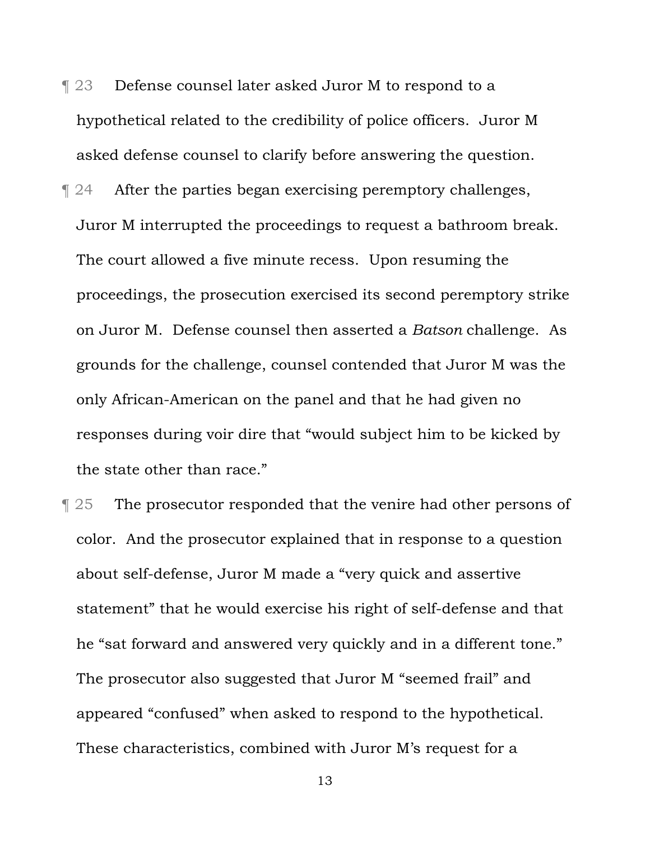- ¶ 23 Defense counsel later asked Juror M to respond to a hypothetical related to the credibility of police officers. Juror M asked defense counsel to clarify before answering the question.
- ¶ 24 After the parties began exercising peremptory challenges, Juror M interrupted the proceedings to request a bathroom break. The court allowed a five minute recess. Upon resuming the proceedings, the prosecution exercised its second peremptory strike on Juror M. Defense counsel then asserted a *Batson* challenge. As grounds for the challenge, counsel contended that Juror M was the only African-American on the panel and that he had given no responses during voir dire that "would subject him to be kicked by the state other than race."
- ¶ 25 The prosecutor responded that the venire had other persons of color. And the prosecutor explained that in response to a question about self-defense, Juror M made a "very quick and assertive statement" that he would exercise his right of self-defense and that he "sat forward and answered very quickly and in a different tone." The prosecutor also suggested that Juror M "seemed frail" and appeared "confused" when asked to respond to the hypothetical. These characteristics, combined with Juror M's request for a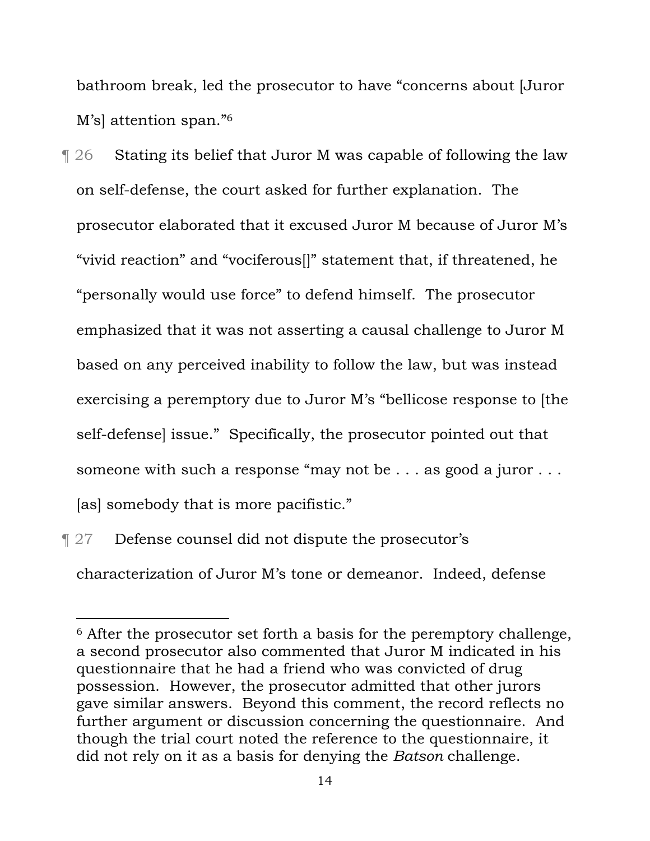bathroom break, led the prosecutor to have "concerns about [Juror M's] attention span."6

¶ 26 Stating its belief that Juror M was capable of following the law on self-defense, the court asked for further explanation. The prosecutor elaborated that it excused Juror M because of Juror M's "vivid reaction" and "vociferous[]" statement that, if threatened, he "personally would use force" to defend himself. The prosecutor emphasized that it was not asserting a causal challenge to Juror M based on any perceived inability to follow the law, but was instead exercising a peremptory due to Juror M's "bellicose response to [the self-defense] issue." Specifically, the prosecutor pointed out that someone with such a response "may not be . . . as good a juror . . . [as] somebody that is more pacifistic."

¶ 27 Defense counsel did not dispute the prosecutor's characterization of Juror M's tone or demeanor. Indeed, defense

i

<sup>6</sup> After the prosecutor set forth a basis for the peremptory challenge, a second prosecutor also commented that Juror M indicated in his questionnaire that he had a friend who was convicted of drug possession. However, the prosecutor admitted that other jurors gave similar answers. Beyond this comment, the record reflects no further argument or discussion concerning the questionnaire. And though the trial court noted the reference to the questionnaire, it did not rely on it as a basis for denying the *Batson* challenge.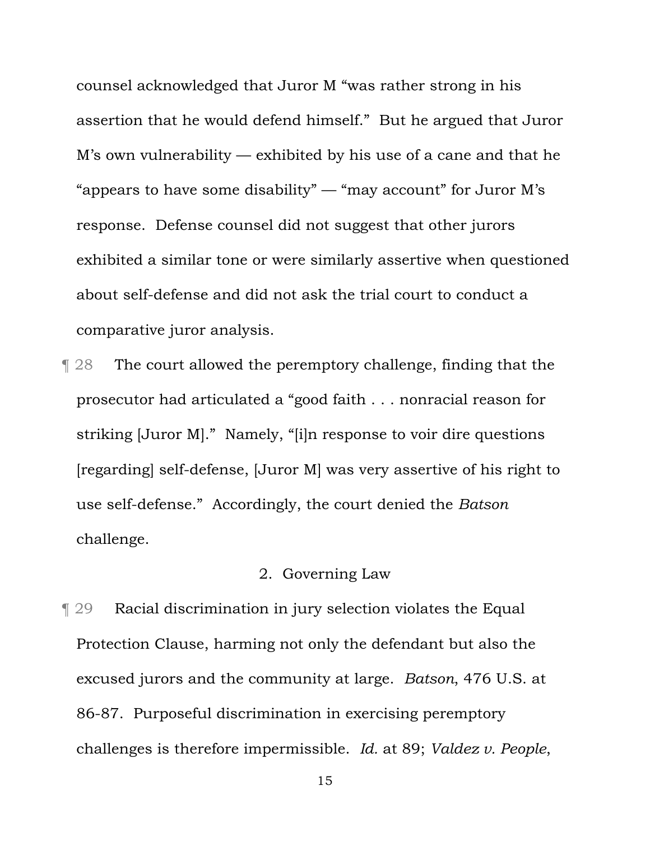counsel acknowledged that Juror M "was rather strong in his assertion that he would defend himself." But he argued that Juror M's own vulnerability — exhibited by his use of a cane and that he "appears to have some disability" — "may account" for Juror M's response. Defense counsel did not suggest that other jurors exhibited a similar tone or were similarly assertive when questioned about self-defense and did not ask the trial court to conduct a comparative juror analysis.

¶ 28 The court allowed the peremptory challenge, finding that the prosecutor had articulated a "good faith . . . nonracial reason for striking [Juror M]." Namely, "[i]n response to voir dire questions [regarding] self-defense, [Juror M] was very assertive of his right to use self-defense." Accordingly, the court denied the *Batson*  challenge.

# 2. Governing Law

¶ 29 Racial discrimination in jury selection violates the Equal Protection Clause, harming not only the defendant but also the excused jurors and the community at large. *Batson*, 476 U.S. at 86-87. Purposeful discrimination in exercising peremptory challenges is therefore impermissible. *Id.* at 89; *Valdez v. People*,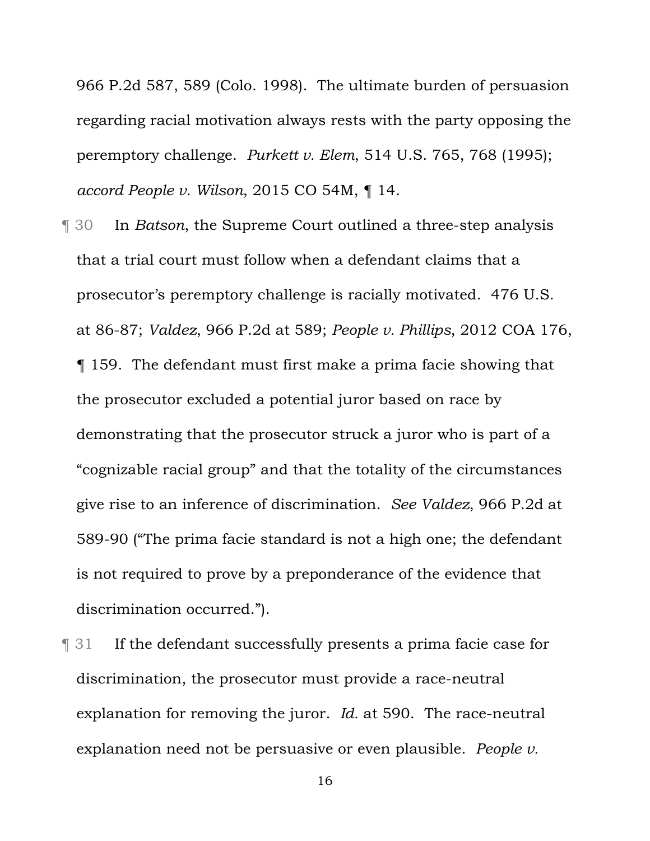966 P.2d 587, 589 (Colo. 1998). The ultimate burden of persuasion regarding racial motivation always rests with the party opposing the peremptory challenge. *Purkett v. Elem*, 514 U.S. 765, 768 (1995); *accord People v. Wilson*, 2015 CO 54M, ¶ 14.

¶ 30 In *Batson*, the Supreme Court outlined a three-step analysis that a trial court must follow when a defendant claims that a prosecutor's peremptory challenge is racially motivated. 476 U.S. at 86-87; *Valdez*, 966 P.2d at 589; *People v. Phillips*, 2012 COA 176, ¶ 159. The defendant must first make a prima facie showing that the prosecutor excluded a potential juror based on race by demonstrating that the prosecutor struck a juror who is part of a "cognizable racial group" and that the totality of the circumstances give rise to an inference of discrimination. *See Valdez*, 966 P.2d at 589-90 ("The prima facie standard is not a high one; the defendant is not required to prove by a preponderance of the evidence that discrimination occurred.").

¶ 31 If the defendant successfully presents a prima facie case for discrimination, the prosecutor must provide a race-neutral explanation for removing the juror. *Id.* at 590. The race-neutral explanation need not be persuasive or even plausible. *People v.*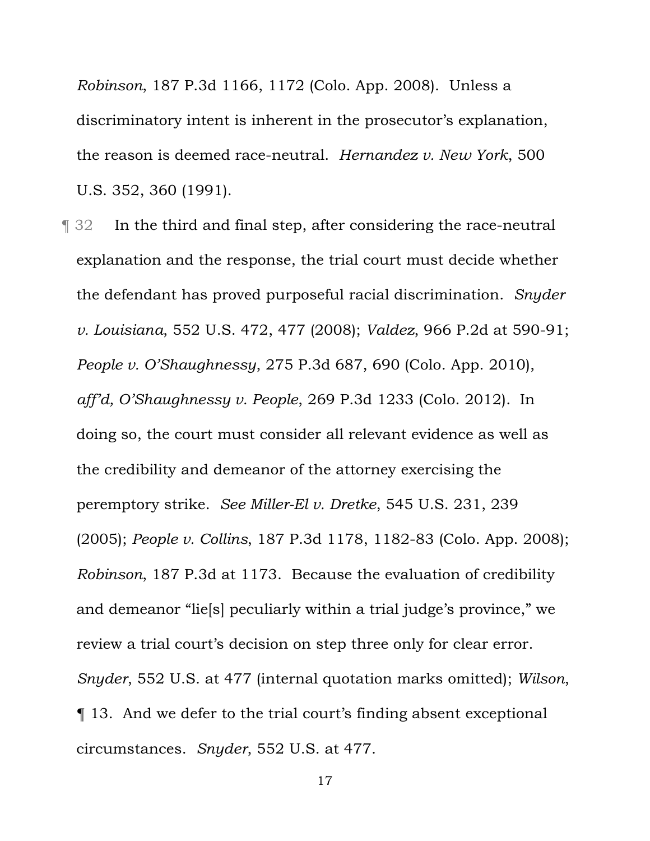*Robinson*, 187 P.3d 1166, 1172 (Colo. App. 2008). Unless a discriminatory intent is inherent in the prosecutor's explanation, the reason is deemed race-neutral. *Hernandez v. New York*, 500 U.S. 352, 360 (1991).

¶ 32 In the third and final step, after considering the race-neutral explanation and the response, the trial court must decide whether the defendant has proved purposeful racial discrimination. *Snyder v. Louisiana*, 552 U.S. 472, 477 (2008); *Valdez*, 966 P.2d at 590-91; *People v. O'Shaughnessy*, 275 P.3d 687, 690 (Colo. App. 2010), *aff'd, O'Shaughnessy v. People*, 269 P.3d 1233 (Colo. 2012). In doing so, the court must consider all relevant evidence as well as the credibility and demeanor of the attorney exercising the peremptory strike. *See Miller-El v. Dretke*, 545 U.S. 231, 239 (2005); *People v. Collins*, 187 P.3d 1178, 1182-83 (Colo. App. 2008); *Robinson*, 187 P.3d at 1173. Because the evaluation of credibility and demeanor "lie[s] peculiarly within a trial judge's province," we review a trial court's decision on step three only for clear error. *Snyder*, 552 U.S. at 477 (internal quotation marks omitted); *Wilson*, ¶ 13. And we defer to the trial court's finding absent exceptional circumstances. *Snyder*, 552 U.S. at 477.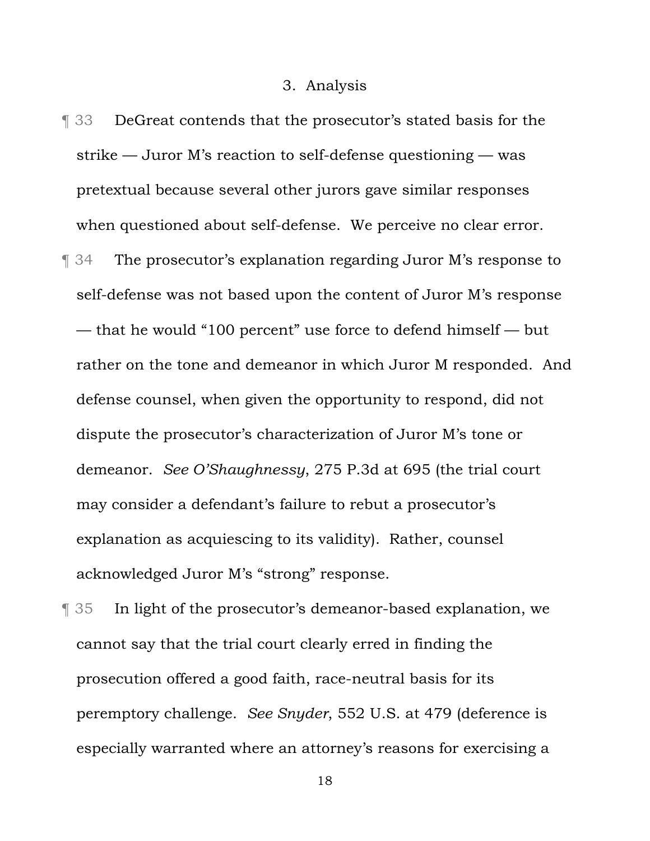#### 3. Analysis

- ¶ 33 DeGreat contends that the prosecutor's stated basis for the strike — Juror M's reaction to self-defense questioning — was pretextual because several other jurors gave similar responses when questioned about self-defense. We perceive no clear error. ¶ 34 The prosecutor's explanation regarding Juror M's response to self-defense was not based upon the content of Juror M's response — that he would "100 percent" use force to defend himself — but rather on the tone and demeanor in which Juror M responded. And defense counsel, when given the opportunity to respond, did not dispute the prosecutor's characterization of Juror M's tone or demeanor. *See O'Shaughnessy*, 275 P.3d at 695 (the trial court may consider a defendant's failure to rebut a prosecutor's explanation as acquiescing to its validity). Rather, counsel acknowledged Juror M's "strong" response.
- ¶ 35 In light of the prosecutor's demeanor-based explanation, we cannot say that the trial court clearly erred in finding the prosecution offered a good faith, race-neutral basis for its peremptory challenge. *See Snyder*, 552 U.S. at 479 (deference is especially warranted where an attorney's reasons for exercising a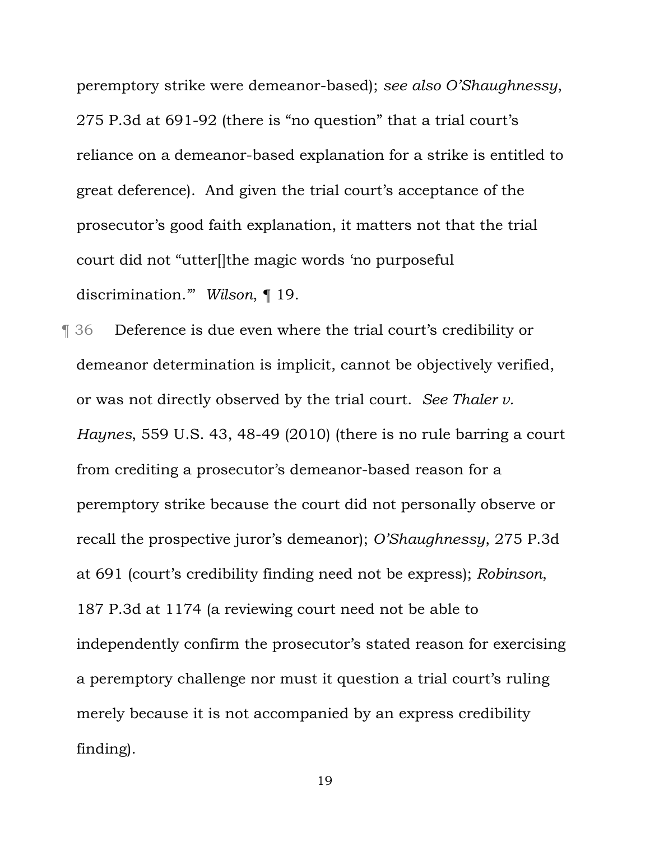peremptory strike were demeanor-based); *see also O'Shaughnessy*, 275 P.3d at 691-92 (there is "no question" that a trial court's reliance on a demeanor-based explanation for a strike is entitled to great deference). And given the trial court's acceptance of the prosecutor's good faith explanation, it matters not that the trial court did not "utter[]the magic words 'no purposeful discrimination.'" *Wilson*, ¶ 19.

¶ 36 Deference is due even where the trial court's credibility or demeanor determination is implicit, cannot be objectively verified, or was not directly observed by the trial court. *See Thaler v. Haynes*, 559 U.S. 43, 48-49 (2010) (there is no rule barring a court from crediting a prosecutor's demeanor-based reason for a peremptory strike because the court did not personally observe or recall the prospective juror's demeanor); *O'Shaughnessy*, 275 P.3d at 691 (court's credibility finding need not be express); *Robinson*, 187 P.3d at 1174 (a reviewing court need not be able to independently confirm the prosecutor's stated reason for exercising a peremptory challenge nor must it question a trial court's ruling merely because it is not accompanied by an express credibility finding).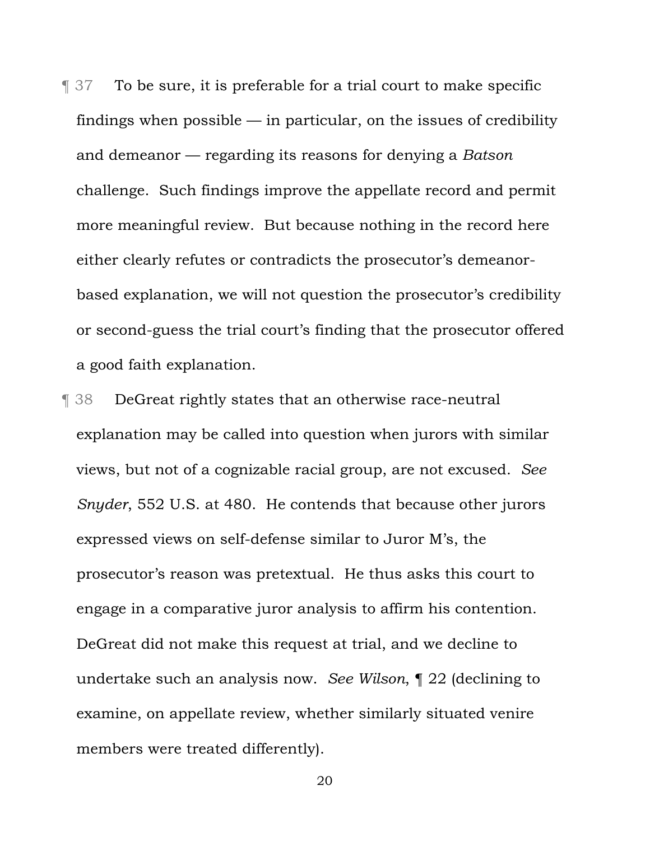¶ 37 To be sure, it is preferable for a trial court to make specific findings when possible  $-$  in particular, on the issues of credibility and demeanor — regarding its reasons for denying a *Batson*  challenge. Such findings improve the appellate record and permit more meaningful review. But because nothing in the record here either clearly refutes or contradicts the prosecutor's demeanorbased explanation, we will not question the prosecutor's credibility or second-guess the trial court's finding that the prosecutor offered a good faith explanation.

¶ 38 DeGreat rightly states that an otherwise race-neutral explanation may be called into question when jurors with similar views, but not of a cognizable racial group, are not excused. *See Snyder*, 552 U.S. at 480. He contends that because other jurors expressed views on self-defense similar to Juror M's, the prosecutor's reason was pretextual. He thus asks this court to engage in a comparative juror analysis to affirm his contention. DeGreat did not make this request at trial, and we decline to undertake such an analysis now. *See Wilson*, ¶ 22 (declining to examine, on appellate review, whether similarly situated venire members were treated differently).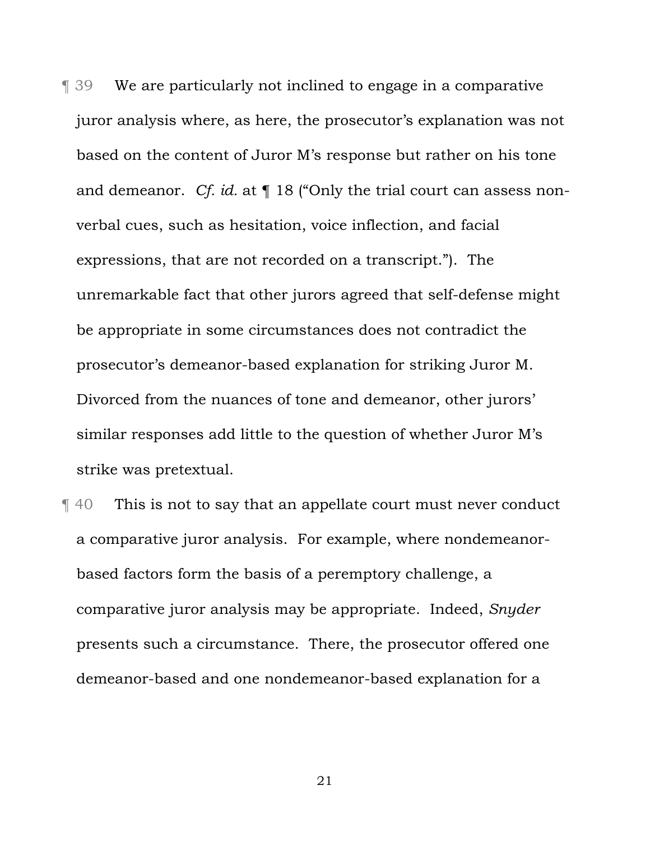¶ 39 We are particularly not inclined to engage in a comparative juror analysis where, as here, the prosecutor's explanation was not based on the content of Juror M's response but rather on his tone and demeanor. *Cf. id.* at ¶ 18 ("Only the trial court can assess nonverbal cues, such as hesitation, voice inflection, and facial expressions, that are not recorded on a transcript."). The unremarkable fact that other jurors agreed that self-defense might be appropriate in some circumstances does not contradict the prosecutor's demeanor-based explanation for striking Juror M. Divorced from the nuances of tone and demeanor, other jurors' similar responses add little to the question of whether Juror M's strike was pretextual.

¶ 40 This is not to say that an appellate court must never conduct a comparative juror analysis. For example, where nondemeanorbased factors form the basis of a peremptory challenge, a comparative juror analysis may be appropriate. Indeed, *Snyder* presents such a circumstance. There, the prosecutor offered one demeanor-based and one nondemeanor-based explanation for a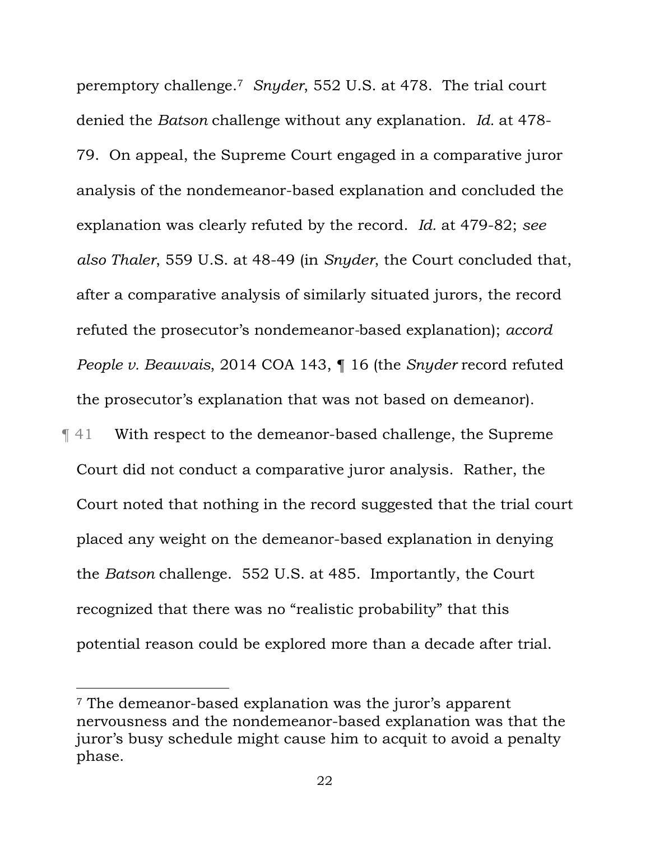peremptory challenge.7 *Snyder*, 552 U.S. at 478. The trial court denied the *Batson* challenge without any explanation. *Id.* at 478- 79. On appeal, the Supreme Court engaged in a comparative juror analysis of the nondemeanor-based explanation and concluded the explanation was clearly refuted by the record. *Id.* at 479-82; *see also Thaler*, 559 U.S. at 48-49 (in *Snyder*, the Court concluded that, after a comparative analysis of similarly situated jurors, the record refuted the prosecutor's nondemeanor*-*based explanation); *accord People v. Beauvais*, 2014 COA 143, ¶ 16 (the *Snyder* record refuted the prosecutor's explanation that was not based on demeanor).

¶ 41 With respect to the demeanor-based challenge, the Supreme Court did not conduct a comparative juror analysis. Rather, the Court noted that nothing in the record suggested that the trial court placed any weight on the demeanor-based explanation in denying the *Batson* challenge. 552 U.S. at 485. Importantly, the Court recognized that there was no "realistic probability" that this potential reason could be explored more than a decade after trial.

i<br>Li

<sup>7</sup> The demeanor-based explanation was the juror's apparent nervousness and the nondemeanor-based explanation was that the juror's busy schedule might cause him to acquit to avoid a penalty phase.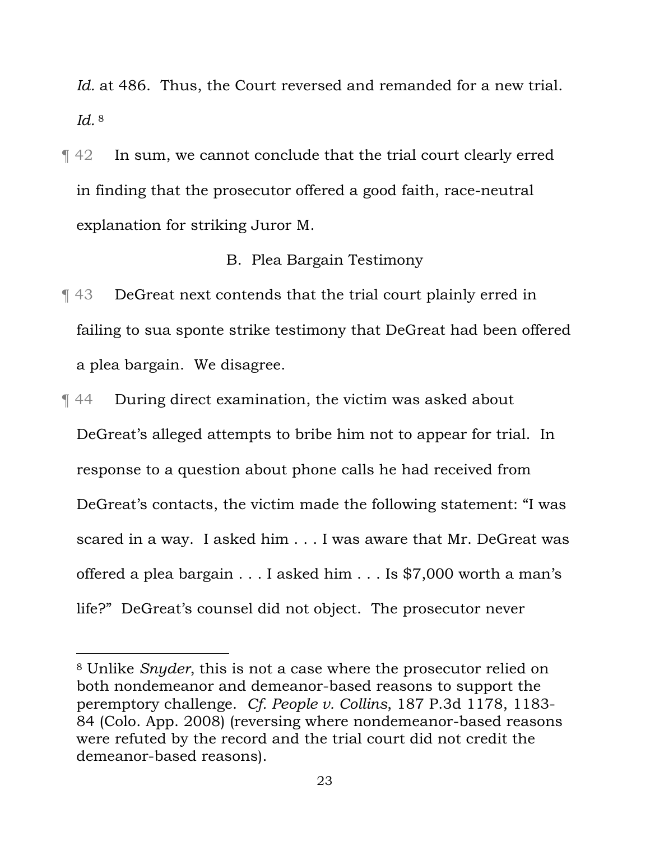Id. at 486. Thus, the Court reversed and remanded for a new trial. *Id.* 8

¶ 42 In sum, we cannot conclude that the trial court clearly erred in finding that the prosecutor offered a good faith, race-neutral explanation for striking Juror M.

### B. Plea Bargain Testimony

- ¶ 43 DeGreat next contends that the trial court plainly erred in failing to sua sponte strike testimony that DeGreat had been offered a plea bargain. We disagree.
- ¶ 44 During direct examination, the victim was asked about DeGreat's alleged attempts to bribe him not to appear for trial. In response to a question about phone calls he had received from DeGreat's contacts, the victim made the following statement: "I was scared in a way. I asked him . . . I was aware that Mr. DeGreat was offered a plea bargain . . . I asked him . . . Is \$7,000 worth a man's life?" DeGreat's counsel did not object. The prosecutor never

i

<sup>8</sup> Unlike *Snyder*, this is not a case where the prosecutor relied on both nondemeanor and demeanor-based reasons to support the peremptory challenge. *Cf. People v. Collins*, 187 P.3d 1178, 1183- 84 (Colo. App. 2008) (reversing where nondemeanor-based reasons were refuted by the record and the trial court did not credit the demeanor-based reasons).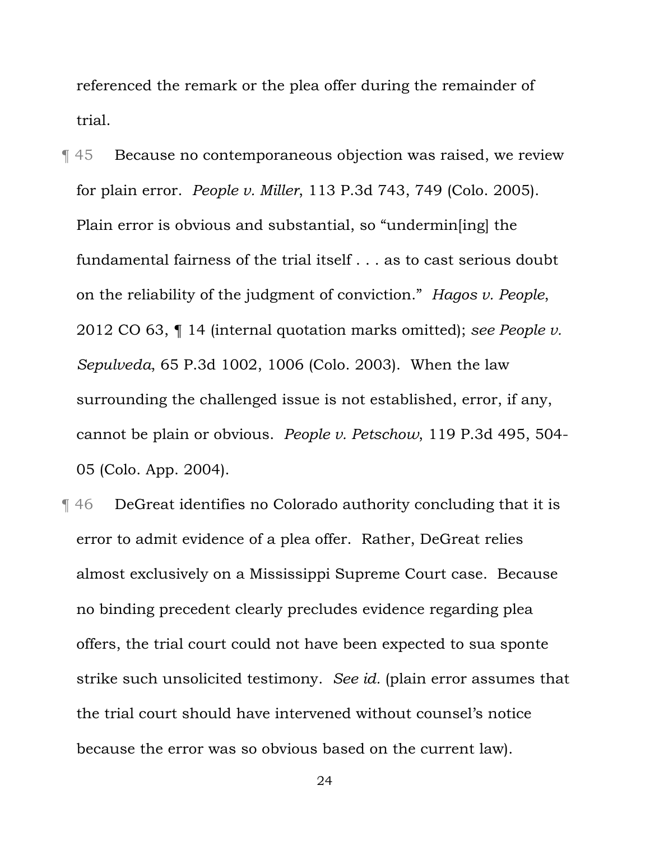referenced the remark or the plea offer during the remainder of trial.

¶ 45 Because no contemporaneous objection was raised, we review for plain error. *People v. Miller*, 113 P.3d 743, 749 (Colo. 2005). Plain error is obvious and substantial, so "undermin[ing] the fundamental fairness of the trial itself . . . as to cast serious doubt on the reliability of the judgment of conviction." *Hagos v. People*, 2012 CO 63, ¶ 14 (internal quotation marks omitted); *see People v. Sepulveda*, 65 P.3d 1002, 1006 (Colo. 2003). When the law surrounding the challenged issue is not established, error, if any, cannot be plain or obvious. *People v. Petschow*, 119 P.3d 495, 504- 05 (Colo. App. 2004).

¶ 46 DeGreat identifies no Colorado authority concluding that it is error to admit evidence of a plea offer. Rather, DeGreat relies almost exclusively on a Mississippi Supreme Court case. Because no binding precedent clearly precludes evidence regarding plea offers, the trial court could not have been expected to sua sponte strike such unsolicited testimony. *See id.* (plain error assumes that the trial court should have intervened without counsel's notice because the error was so obvious based on the current law).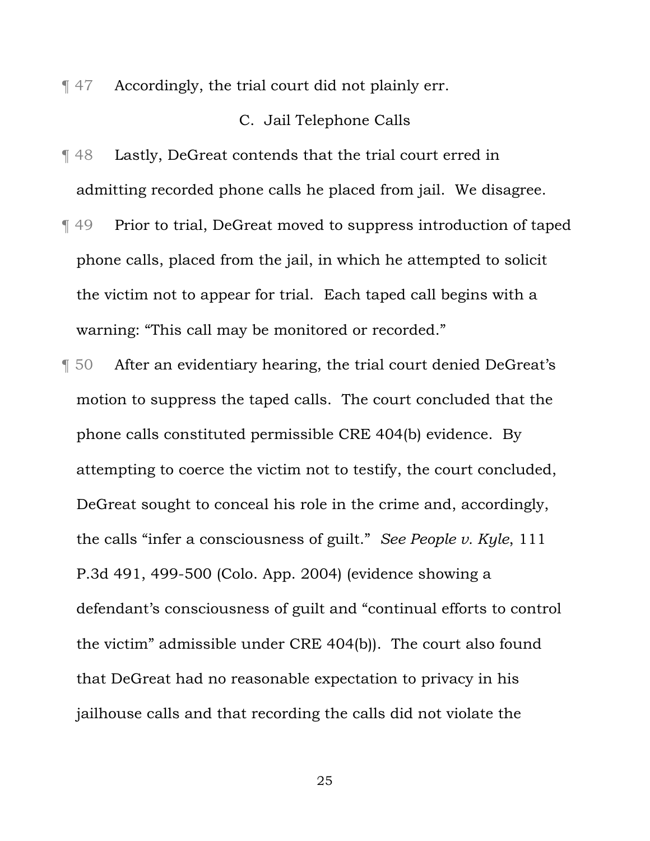¶ 47 Accordingly, the trial court did not plainly err.

# C. Jail Telephone Calls

- ¶ 48 Lastly, DeGreat contends that the trial court erred in admitting recorded phone calls he placed from jail. We disagree.
- ¶ 49 Prior to trial, DeGreat moved to suppress introduction of taped phone calls, placed from the jail, in which he attempted to solicit the victim not to appear for trial.Each taped call begins with a warning: "This call may be monitored or recorded."
- ¶ 50 After an evidentiary hearing, the trial court denied DeGreat's motion to suppress the taped calls. The court concluded that the phone calls constituted permissible CRE 404(b) evidence. By attempting to coerce the victim not to testify, the court concluded, DeGreat sought to conceal his role in the crime and, accordingly, the calls "infer a consciousness of guilt." *See People v. Kyle*, 111 P.3d 491, 499-500 (Colo. App. 2004) (evidence showing a defendant's consciousness of guilt and "continual efforts to control the victim" admissible under CRE 404(b)). The court also found that DeGreat had no reasonable expectation to privacy in his jailhouse calls and that recording the calls did not violate the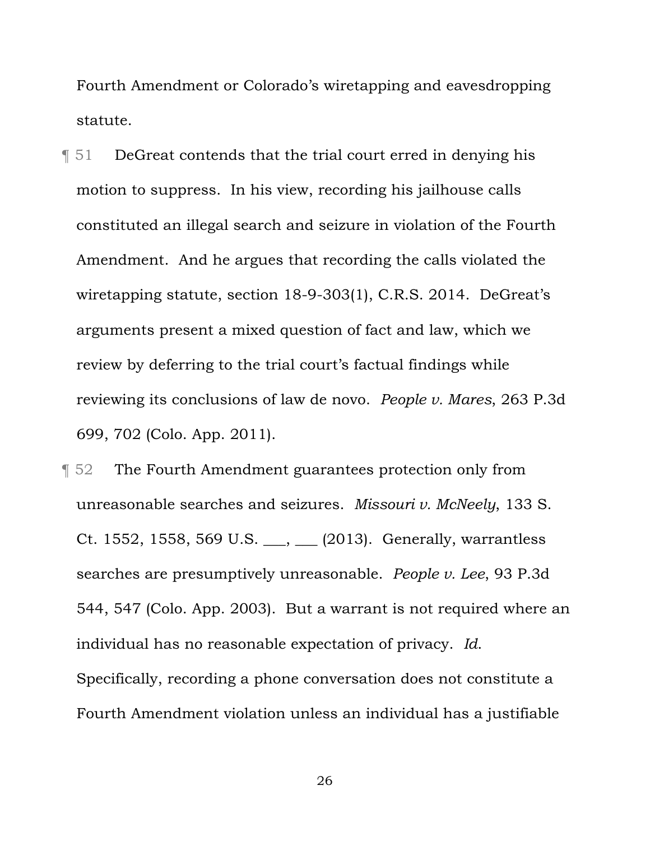Fourth Amendment or Colorado's wiretapping and eavesdropping statute.

¶ 51 DeGreat contends that the trial court erred in denying his motion to suppress. In his view, recording his jailhouse calls constituted an illegal search and seizure in violation of the Fourth Amendment. And he argues that recording the calls violated the wiretapping statute, section 18-9-303(1), C.R.S. 2014. DeGreat's arguments present a mixed question of fact and law, which we review by deferring to the trial court's factual findings while reviewing its conclusions of law de novo. *People v. Mares*, 263 P.3d 699, 702 (Colo. App. 2011).

**The Fourth Amendment guarantees protection only from** unreasonable searches and seizures. *Missouri v. McNeely*, 133 S. Ct. 1552, 1558, 569 U.S. \_\_\_, \_\_\_ (2013). Generally, warrantless searches are presumptively unreasonable. *People v. Lee*, 93 P.3d 544, 547 (Colo. App. 2003). But a warrant is not required where an individual has no reasonable expectation of privacy. *Id*. Specifically, recording a phone conversation does not constitute a Fourth Amendment violation unless an individual has a justifiable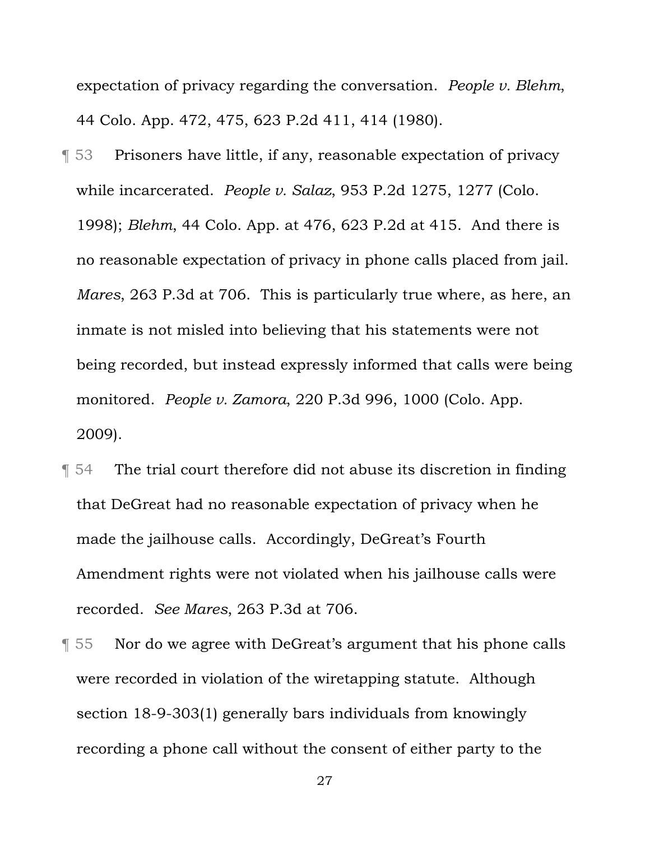expectation of privacy regarding the conversation. *People v. Blehm*, 44 Colo. App. 472, 475, 623 P.2d 411, 414 (1980).

- ¶ 53 Prisoners have little, if any, reasonable expectation of privacy while incarcerated. *People v. Salaz*, 953 P.2d 1275, 1277 (Colo. 1998); *Blehm*, 44 Colo. App. at 476, 623 P.2d at 415. And there is no reasonable expectation of privacy in phone calls placed from jail. *Mares*, 263 P.3d at 706. This is particularly true where, as here, an inmate is not misled into believing that his statements were not being recorded, but instead expressly informed that calls were being monitored. *People v. Zamora*, 220 P.3d 996, 1000 (Colo. App. 2009).
- ¶ 54 The trial court therefore did not abuse its discretion in finding that DeGreat had no reasonable expectation of privacy when he made the jailhouse calls. Accordingly, DeGreat's Fourth Amendment rights were not violated when his jailhouse calls were recorded. *See Mares*, 263 P.3d at 706.
- ¶ 55 Nor do we agree with DeGreat's argument that his phone calls were recorded in violation of the wiretapping statute. Although section 18-9-303(1) generally bars individuals from knowingly recording a phone call without the consent of either party to the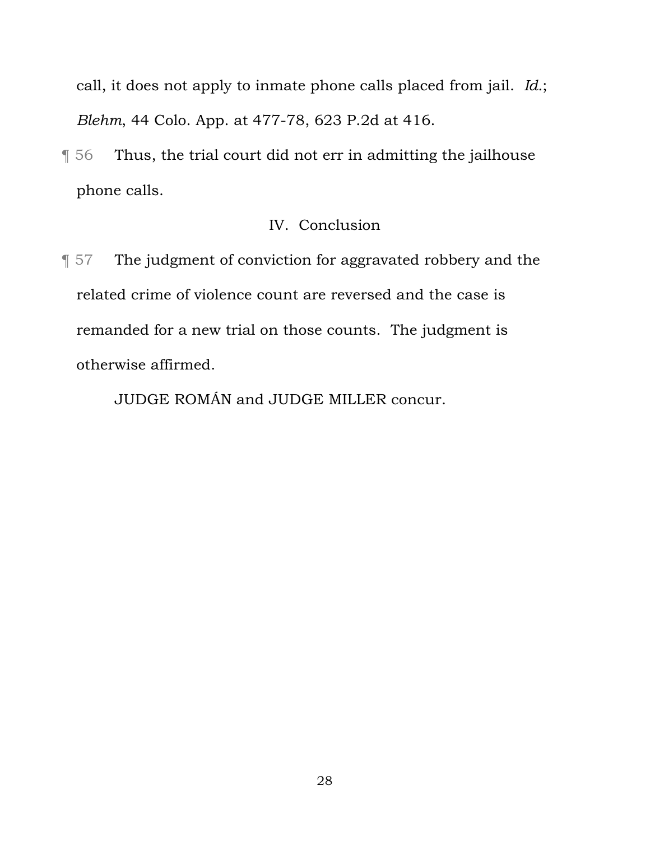call, it does not apply to inmate phone calls placed from jail. *Id.*; *Blehm*, 44 Colo. App. at 477-78, 623 P.2d at 416.

¶ 56 Thus, the trial court did not err in admitting the jailhouse phone calls.

# IV. Conclusion

¶ 57 The judgment of conviction for aggravated robbery and the related crime of violence count are reversed and the case is remanded for a new trial on those counts. The judgment is otherwise affirmed.

JUDGE ROMÁN and JUDGE MILLER concur.